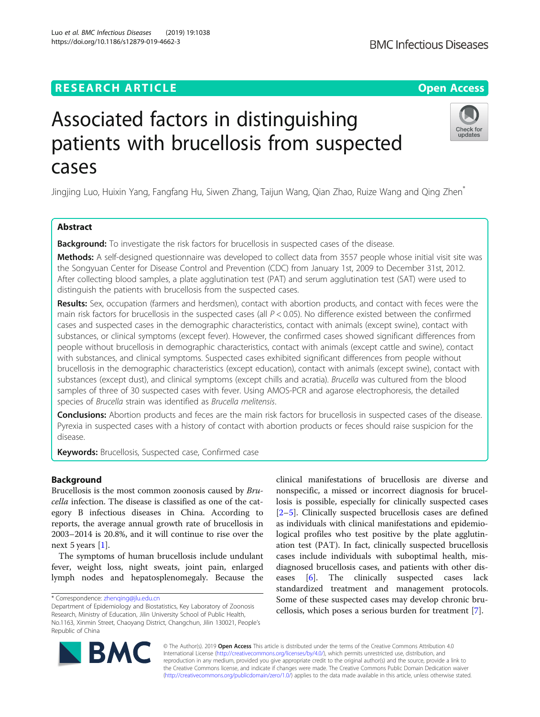# **RESEARCH ARTICLE Example 2014 12:30 The Contract of Contract ACCESS**

# Associated factors in distinguishing patients with brucellosis from suspected cases

Jingjing Luo, Huixin Yang, Fangfang Hu, Siwen Zhang, Taijun Wang, Qian Zhao, Ruize Wang and Qing Zhen\*

# Abstract

**Background:** To investigate the risk factors for brucellosis in suspected cases of the disease.

Methods: A self-designed questionnaire was developed to collect data from 3557 people whose initial visit site was the Songyuan Center for Disease Control and Prevention (CDC) from January 1st, 2009 to December 31st, 2012. After collecting blood samples, a plate agglutination test (PAT) and serum agglutination test (SAT) were used to distinguish the patients with brucellosis from the suspected cases.

Results: Sex, occupation (farmers and herdsmen), contact with abortion products, and contact with feces were the main risk factors for brucellosis in the suspected cases (all  $P < 0.05$ ). No difference existed between the confirmed cases and suspected cases in the demographic characteristics, contact with animals (except swine), contact with substances, or clinical symptoms (except fever). However, the confirmed cases showed significant differences from people without brucellosis in demographic characteristics, contact with animals (except cattle and swine), contact with substances, and clinical symptoms. Suspected cases exhibited significant differences from people without brucellosis in the demographic characteristics (except education), contact with animals (except swine), contact with substances (except dust), and clinical symptoms (except chills and acratia). Brucella was cultured from the blood samples of three of 30 suspected cases with fever. Using AMOS-PCR and agarose electrophoresis, the detailed species of Brucella strain was identified as Brucella melitensis.

**Conclusions:** Abortion products and feces are the main risk factors for brucellosis in suspected cases of the disease. Pyrexia in suspected cases with a history of contact with abortion products or feces should raise suspicion for the disease.

Keywords: Brucellosis, Suspected case, Confirmed case

# Background

Brucellosis is the most common zoonosis caused by Brucella infection. The disease is classified as one of the category B infectious diseases in China. According to reports, the average annual growth rate of brucellosis in 2003–2014 is 20.8%, and it will continue to rise over the next 5 years [\[1\]](#page-8-0).

The symptoms of human brucellosis include undulant fever, weight loss, night sweats, joint pain, enlarged lymph nodes and hepatosplenomegaly. Because the

\* Correspondence: [zhenqing@jlu.edu.cn](mailto:zhenqing@jlu.edu.cn)

© The Author(s). 2019 Open Access This article is distributed under the terms of the Creative Commons Attribution 4.0 International License [\(http://creativecommons.org/licenses/by/4.0/](http://creativecommons.org/licenses/by/4.0/)), which permits unrestricted use, distribution, and reproduction in any medium, provided you give appropriate credit to the original author(s) and the source, provide a link to the Creative Commons license, and indicate if changes were made. The Creative Commons Public Domain Dedication waiver [\(http://creativecommons.org/publicdomain/zero/1.0/](http://creativecommons.org/publicdomain/zero/1.0/)) applies to the data made available in this article, unless otherwise stated.

clinical manifestations of brucellosis are diverse and nonspecific, a missed or incorrect diagnosis for brucellosis is possible, especially for clinically suspected cases [[2](#page-8-0)–[5\]](#page-8-0). Clinically suspected brucellosis cases are defined as individuals with clinical manifestations and epidemiological profiles who test positive by the plate agglutination test (PAT). In fact, clinically suspected brucellosis cases include individuals with suboptimal health, misdiagnosed brucellosis cases, and patients with other diseases [\[6](#page-8-0)]. The clinically suspected cases lack standardized treatment and management protocols. Some of these suspected cases may develop chronic brucellosis, which poses a serious burden for treatment [\[7](#page-8-0)].







Department of Epidemiology and Biostatistics, Key Laboratory of Zoonosis Research, Ministry of Education, Jilin University School of Public Health, No.1163, Xinmin Street, Chaoyang District, Changchun, Jilin 130021, People's Republic of China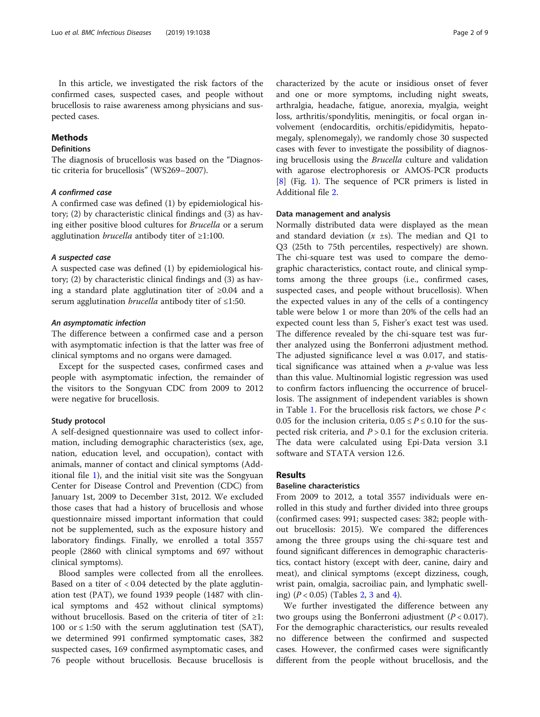In this article, we investigated the risk factors of the confirmed cases, suspected cases, and people without brucellosis to raise awareness among physicians and suspected cases.

# Methods

# Definitions

The diagnosis of brucellosis was based on the "Diagnostic criteria for brucellosis" (WS269–2007).

# A confirmed case

A confirmed case was defined (1) by epidemiological history; (2) by characteristic clinical findings and (3) as having either positive blood cultures for Brucella or a serum agglutination brucella antibody titer of ≥1:100.

#### A suspected case

A suspected case was defined (1) by epidemiological history; (2) by characteristic clinical findings and (3) as having a standard plate agglutination titer of ≥0.04 and a serum agglutination *brucella* antibody titer of  $\leq$ 1:50.

#### An asymptomatic infection

The difference between a confirmed case and a person with asymptomatic infection is that the latter was free of clinical symptoms and no organs were damaged.

Except for the suspected cases, confirmed cases and people with asymptomatic infection, the remainder of the visitors to the Songyuan CDC from 2009 to 2012 were negative for brucellosis.

#### Study protocol

A self-designed questionnaire was used to collect information, including demographic characteristics (sex, age, nation, education level, and occupation), contact with animals, manner of contact and clinical symptoms (Additional file [1\)](#page-8-0), and the initial visit site was the Songyuan Center for Disease Control and Prevention (CDC) from January 1st, 2009 to December 31st, 2012. We excluded those cases that had a history of brucellosis and whose questionnaire missed important information that could not be supplemented, such as the exposure history and laboratory findings. Finally, we enrolled a total 3557 people (2860 with clinical symptoms and 697 without clinical symptoms).

Blood samples were collected from all the enrollees. Based on a titer of < 0.04 detected by the plate agglutination test (PAT), we found 1939 people (1487 with clinical symptoms and 452 without clinical symptoms) without brucellosis. Based on the criteria of titer of ≥1: 100 or  $\leq$  1:50 with the serum agglutination test (SAT), we determined 991 confirmed symptomatic cases, 382 suspected cases, 169 confirmed asymptomatic cases, and 76 people without brucellosis. Because brucellosis is characterized by the acute or insidious onset of fever and one or more symptoms, including night sweats, arthralgia, headache, fatigue, anorexia, myalgia, weight loss, arthritis/spondylitis, meningitis, or focal organ involvement (endocarditis, orchitis/epididymitis, hepatomegaly, splenomegaly), we randomly chose 30 suspected cases with fever to investigate the possibility of diagnosing brucellosis using the Brucella culture and validation with agarose electrophoresis or AMOS-PCR products [[8\]](#page-8-0) (Fig. [1](#page-2-0)). The sequence of PCR primers is listed in Additional file [2](#page-8-0).

# Data management and analysis

Normally distributed data were displayed as the mean and standard deviation  $(x \pm s)$ . The median and Q1 to Q3 (25th to 75th percentiles, respectively) are shown. The chi-square test was used to compare the demographic characteristics, contact route, and clinical symptoms among the three groups (i.e., confirmed cases, suspected cases, and people without brucellosis). When the expected values in any of the cells of a contingency table were below 1 or more than 20% of the cells had an expected count less than 5, Fisher's exact test was used. The difference revealed by the chi-square test was further analyzed using the Bonferroni adjustment method. The adjusted significance level  $\alpha$  was 0.017, and statistical significance was attained when a  $p$ -value was less than this value. Multinomial logistic regression was used to confirm factors influencing the occurrence of brucellosis. The assignment of independent variables is shown in Table [1](#page-2-0). For the brucellosis risk factors, we chose  $P <$ 0.05 for the inclusion criteria,  $0.05 \le P \le 0.10$  for the suspected risk criteria, and  $P > 0.1$  for the exclusion criteria. The data were calculated using Epi-Data version 3.1 software and STATA version 12.6.

# **Results**

# Baseline characteristics

From 2009 to 2012, a total 3557 individuals were enrolled in this study and further divided into three groups (confirmed cases: 991; suspected cases: 382; people without brucellosis: 2015). We compared the differences among the three groups using the chi-square test and found significant differences in demographic characteristics, contact history (except with deer, canine, dairy and meat), and clinical symptoms (except dizziness, cough, wrist pain, omalgia, sacroiliac pain, and lymphatic swelling)  $(P < 0.05)$  (Tables [2](#page-3-0), [3](#page-4-0) and [4](#page-5-0)).

We further investigated the difference between any two groups using the Bonferroni adjustment  $(P < 0.017)$ . For the demographic characteristics, our results revealed no difference between the confirmed and suspected cases. However, the confirmed cases were significantly different from the people without brucellosis, and the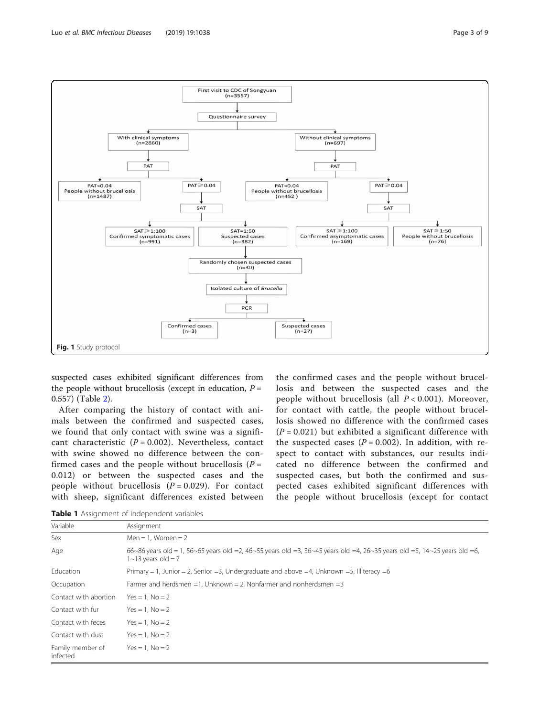<span id="page-2-0"></span>

suspected cases exhibited significant differences from the people without brucellosis (except in education,  $P =$ 0.557) (Table [2\)](#page-3-0).

After comparing the history of contact with animals between the confirmed and suspected cases, we found that only contact with swine was a significant characteristic  $(P = 0.002)$ . Nevertheless, contact with swine showed no difference between the confirmed cases and the people without brucellosis  $(P =$ 0.012) or between the suspected cases and the people without brucellosis  $(P = 0.029)$ . For contact with sheep, significant differences existed between

the confirmed cases and the people without brucellosis and between the suspected cases and the people without brucellosis (all  $P < 0.001$ ). Moreover, for contact with cattle, the people without brucellosis showed no difference with the confirmed cases  $(P = 0.021)$  but exhibited a significant difference with the suspected cases  $(P = 0.002)$ . In addition, with respect to contact with substances, our results indicated no difference between the confirmed and suspected cases, but both the confirmed and suspected cases exhibited significant differences with the people without brucellosis (except for contact

Table 1 Assignment of independent variables

| Variable                     | Assignment                                                                                                                                            |
|------------------------------|-------------------------------------------------------------------------------------------------------------------------------------------------------|
| Sex                          | $Men = 1$ , Women = 2                                                                                                                                 |
| Age                          | 66~86 years old = 1, 56~65 years old =2, 46~55 years old =3, 36~45 years old =4, 26~35 years old =5, 14~25 years old =6,<br>$1 \sim 13$ years old = 7 |
| Education                    | Primary = 1, Junior = 2, Senior = 3, Undergraduate and above = 4, Unknown = 5, Illiteracy = 6                                                         |
| Occupation                   | Farmer and herdsmen =1, Unknown = 2, Nonfarmer and nonherdsmen = 3                                                                                    |
| Contact with abortion        | $Yes = 1. No = 2$                                                                                                                                     |
| Contact with fur             | $Yes = 1. No = 2$                                                                                                                                     |
| Contact with feces           | $Yes = 1. No = 2$                                                                                                                                     |
| Contact with dust            | $Yes = 1. No = 2$                                                                                                                                     |
| Family member of<br>infected | $Yes = 1. No = 2$                                                                                                                                     |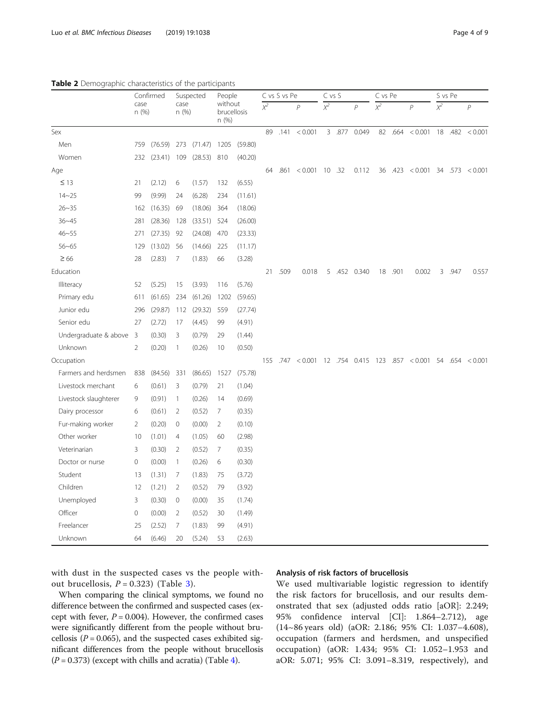#### <span id="page-3-0"></span>Table 2 Demographic characteristics of the participants

|                       | Confirmed               |         | Suspected      |                | People         |                        |     | C vs S vs Pe |                                                | C vs S           |                | C vs Pe |         |                                 | S vs Pe             |      |                 |
|-----------------------|-------------------------|---------|----------------|----------------|----------------|------------------------|-----|--------------|------------------------------------------------|------------------|----------------|---------|---------|---------------------------------|---------------------|------|-----------------|
|                       | case<br>n (%)           |         | case<br>n (%)  |                | n (%)          | without<br>brucellosis |     |              | $\overline{p}$                                 | $\overline{x^2}$ | $\overline{P}$ |         |         | $\overline{p}$                  | $\overline{\chi^2}$ |      | $\mathsf{P}$    |
| Sex                   |                         |         |                |                |                |                        |     |              | 89 .141 < 0.001                                |                  | 3 .877 0.049   |         | 82 .664 | < 0.001                         |                     |      | 18 .482 < 0.001 |
| Men                   | 759                     | (76.59) | 273            | $(71.47)$ 1205 |                | (59.80)                |     |              |                                                |                  |                |         |         |                                 |                     |      |                 |
| Women                 | 232                     | (23.41) | 109            | (28.53)        | 810            | (40.20)                |     |              |                                                |                  |                |         |         |                                 |                     |      |                 |
| Age                   |                         |         |                |                |                |                        | 64  |              | $.861$ < 0.001 10 .32                          |                  | 0.112          |         |         | 36 .423 < 0.001 34 .573 < 0.001 |                     |      |                 |
| $\leq$ 13             | 21                      | (2.12)  | 6              | (1.57)         | 132            | (6.55)                 |     |              |                                                |                  |                |         |         |                                 |                     |      |                 |
| $14 - 25$             | 99                      | (9.99)  | 24             | (6.28)         | 234            | (11.61)                |     |              |                                                |                  |                |         |         |                                 |                     |      |                 |
| $26 - 35$             | 162                     | (16.35) | 69             | (18.06)        | 364            | (18.06)                |     |              |                                                |                  |                |         |         |                                 |                     |      |                 |
| $36 - 45$             | 281                     | (28.36) | 128            | (33.51)        | 524            | (26.00)                |     |              |                                                |                  |                |         |         |                                 |                     |      |                 |
| $46 - 55$             | 271                     | (27.35) | 92             | (24.08)        | 470            | (23.33)                |     |              |                                                |                  |                |         |         |                                 |                     |      |                 |
| $56 - 65$             | 129                     | (13.02) | 56             | (14.66)        | 225            | (11.17)                |     |              |                                                |                  |                |         |         |                                 |                     |      |                 |
| $\geq 66$             | 28                      | (2.83)  | 7              | (1.83)         | 66             | (3.28)                 |     |              |                                                |                  |                |         |         |                                 |                     |      |                 |
| Education             |                         |         |                |                |                |                        | 21  | .509         | 0.018                                          | 5                | .452 0.340     |         | 18 .901 | 0.002                           | $\mathbf{3}$        | .947 | 0.557           |
| Illiteracy            | 52                      | (5.25)  | 15             | (3.93)         | 116            | (5.76)                 |     |              |                                                |                  |                |         |         |                                 |                     |      |                 |
| Primary edu           | 611                     | (61.65) | 234            | (61.26)        | 1202           | (59.65)                |     |              |                                                |                  |                |         |         |                                 |                     |      |                 |
| Junior edu            | 296                     | (29.87) | 112            | (29.32)        | 559            | (27.74)                |     |              |                                                |                  |                |         |         |                                 |                     |      |                 |
| Senior edu            | 27                      | (2.72)  | 17             | (4.45)         | 99             | (4.91)                 |     |              |                                                |                  |                |         |         |                                 |                     |      |                 |
| Undergraduate & above | $\overline{\mathbf{3}}$ | (0.30)  | 3              | (0.79)         | 29             | (1.44)                 |     |              |                                                |                  |                |         |         |                                 |                     |      |                 |
| Unknown               | $\overline{2}$          | (0.20)  | $\overline{1}$ | (0.26)         | 10             | (0.50)                 |     |              |                                                |                  |                |         |         |                                 |                     |      |                 |
| Occupation            |                         |         |                |                |                |                        | 155 |              | .747 < 0.001 12 .754 0.415 123 .857 < 0.001 54 |                  |                |         |         |                                 |                     |      | .654 < 0.001    |
| Farmers and herdsmen  | 838                     | (84.56) | 331            | (86.65)        | 1527           | (75.78)                |     |              |                                                |                  |                |         |         |                                 |                     |      |                 |
| Livestock merchant    | 6                       | (0.61)  | 3              | (0.79)         | 21             | (1.04)                 |     |              |                                                |                  |                |         |         |                                 |                     |      |                 |
| Livestock slaughterer | 9                       | (0.91)  | $\overline{1}$ | (0.26)         | 14             | (0.69)                 |     |              |                                                |                  |                |         |         |                                 |                     |      |                 |
| Dairy processor       | 6                       | (0.61)  | $\overline{2}$ | (0.52)         | 7              | (0.35)                 |     |              |                                                |                  |                |         |         |                                 |                     |      |                 |
| Fur-making worker     | $\overline{2}$          | (0.20)  | $\circ$        | (0.00)         | $\overline{2}$ | (0.10)                 |     |              |                                                |                  |                |         |         |                                 |                     |      |                 |
| Other worker          | 10                      | (1.01)  | $\overline{4}$ | (1.05)         | 60             | (2.98)                 |     |              |                                                |                  |                |         |         |                                 |                     |      |                 |
| Veterinarian          | 3                       | (0.30)  | 2              | (0.52)         | $\overline{7}$ | (0.35)                 |     |              |                                                |                  |                |         |         |                                 |                     |      |                 |
| Doctor or nurse       | $\mathsf{O}\xspace$     | (0.00)  | $\overline{1}$ | (0.26)         | 6              | (0.30)                 |     |              |                                                |                  |                |         |         |                                 |                     |      |                 |
| Student               | 13                      | (1.31)  | 7              | (1.83)         | 75             | (3.72)                 |     |              |                                                |                  |                |         |         |                                 |                     |      |                 |
| Children              | 12                      | (1.21)  | $\overline{2}$ | (0.52)         | 79             | (3.92)                 |     |              |                                                |                  |                |         |         |                                 |                     |      |                 |
| Unemployed            | 3                       | (0.30)  | $\mathbf 0$    | (0.00)         | 35             | (1.74)                 |     |              |                                                |                  |                |         |         |                                 |                     |      |                 |
| Officer               | $\mathsf{O}\xspace$     | (0.00)  | $\overline{2}$ | (0.52)         | 30             | (1.49)                 |     |              |                                                |                  |                |         |         |                                 |                     |      |                 |
| Freelancer            | 25                      | (2.52)  | 7              | (1.83)         | 99             | (4.91)                 |     |              |                                                |                  |                |         |         |                                 |                     |      |                 |
| Unknown               | 64                      | (6.46)  | 20             | (5.24)         | 53             | (2.63)                 |     |              |                                                |                  |                |         |         |                                 |                     |      |                 |

with dust in the suspected cases vs the people without brucellosis,  $P = 0.323$  $P = 0.323$  $P = 0.323$ ) (Table 3).

When comparing the clinical symptoms, we found no difference between the confirmed and suspected cases (except with fever,  $P = 0.004$ ). However, the confirmed cases were significantly different from the people without brucellosis ( $P = 0.065$ ), and the suspected cases exhibited significant differences from the people without brucellosis  $(P = 0.373)$  (except with chills and acratia) (Table [4](#page-5-0)).

# Analysis of risk factors of brucellosis

We used multivariable logistic regression to identify the risk factors for brucellosis, and our results demonstrated that sex (adjusted odds ratio [aOR]: 2.249; 95% confidence interval [CI]: 1.864–2.712), age (14~86 years old) (aOR: 2.186; 95% CI: 1.037–4.608), occupation (farmers and herdsmen, and unspecified occupation) (aOR: 1.434; 95% CI: 1.052–1.953 and aOR: 5.071; 95% CI: 3.091–8.319, respectively), and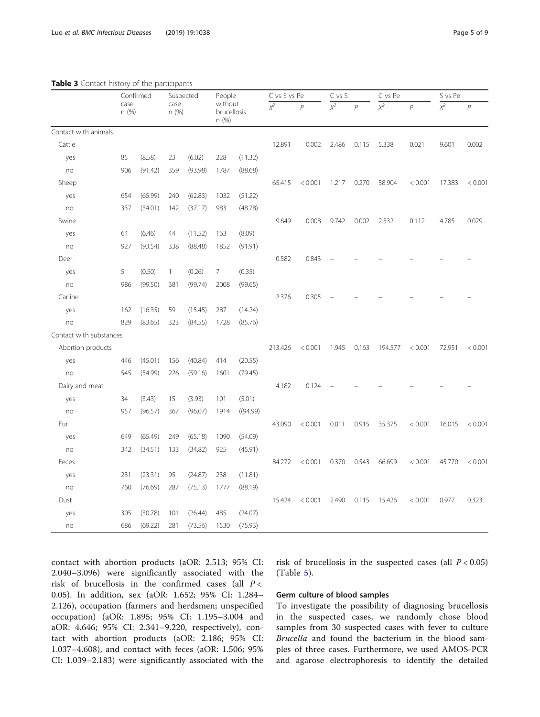<span id="page-4-0"></span>

|                         | Confirmed     |         | Suspected     |         | People                          |          | C vs S vs Pe |              | C vs S           |                | C vs Pe          |                | S vs Pe          |                |
|-------------------------|---------------|---------|---------------|---------|---------------------------------|----------|--------------|--------------|------------------|----------------|------------------|----------------|------------------|----------------|
|                         | case<br>n (%) |         | case<br>n (%) |         | without<br>brucellosis<br>n (%) |          | $x^2$        | $\mathsf{P}$ | $\overline{x^2}$ | $\overline{P}$ | $\overline{x^2}$ | $\overline{P}$ | $\overline{x^2}$ | $\overline{P}$ |
| Contact with animals    |               |         |               |         |                                 |          |              |              |                  |                |                  |                |                  |                |
| Cattle                  |               |         |               |         |                                 |          | 12.891       | 0.002        | 2.486            | 0.115          | 5.338            | 0.021          | 9.601            | 0.002          |
| yes                     | 85            | (8.58)  | 23            | (6.02)  | 228                             | (11.32)  |              |              |                  |                |                  |                |                  |                |
| no                      | 906           | (91.42) | 359           | (93.98) | 1787                            | (88.68)  |              |              |                  |                |                  |                |                  |                |
| Sheep                   |               |         |               |         |                                 |          | 65.415       | < 0.001      | 1.217            | 0.270          | 58.904           | < 0.001        | 17.383           | < 0.001        |
| yes                     | 654           | (65.99) | 240           | (62.83) | 1032                            | (51.22)  |              |              |                  |                |                  |                |                  |                |
| no                      | 337           | (34.01) | 142           | (37.17) | 983                             | (48.78)  |              |              |                  |                |                  |                |                  |                |
| Swine                   |               |         |               |         |                                 |          | 9.649        | 0.008        | 9.742            | 0.002          | 2.532            | 0.112          | 4.785            | 0.029          |
| yes                     | 64            | (6.46)  | 44            | (11.52) | 163                             | (8.09)   |              |              |                  |                |                  |                |                  |                |
| no                      | 927           | (93.54) | 338           | (88.48) | 1852                            | (91.91)  |              |              |                  |                |                  |                |                  |                |
| Deer                    |               |         |               |         |                                 |          | 0.582        | 0.843        |                  |                |                  |                |                  |                |
| yes                     | 5             | (0.50)  | $\mathbf{1}$  | (0.26)  | 7                               | (0.35)   |              |              |                  |                |                  |                |                  |                |
| no                      | 986           | (99.50) | 381           | (99.74) | 2008                            | (99.65)  |              |              |                  |                |                  |                |                  |                |
| Canine                  |               |         |               |         |                                 |          | 2.376        | 0.305        |                  |                |                  |                |                  |                |
| yes                     | 162           | (16.35) | 59            | (15.45) | 287                             | (14.24)  |              |              |                  |                |                  |                |                  |                |
| no                      | 829           | (83.65) | 323           | (84.55) | 1728                            | (85.76)  |              |              |                  |                |                  |                |                  |                |
| Contact with substances |               |         |               |         |                                 |          |              |              |                  |                |                  |                |                  |                |
| Abortion products       |               |         |               |         |                                 |          | 213.426      | < 0.001      | 1.945            | 0.163          | 194.577          | < 0.001        | 72.951           | < 0.001        |
| yes                     | 446           | (45.01) | 156           | (40.84) | 414                             | (20.55)  |              |              |                  |                |                  |                |                  |                |
| no                      | 545           | (54.99) | 226           | (59.16) | 1601                            | (79.45)  |              |              |                  |                |                  |                |                  |                |
| Dairy and meat          |               |         |               |         |                                 |          | 4.182        | 0.124        |                  |                |                  |                |                  |                |
| yes                     | 34            | (3.43)  | 15            | (3.93)  | 101                             | (5.01)   |              |              |                  |                |                  |                |                  |                |
| no                      | 957           | (96.57) | 367           | (96.07) | 1914                            | ((94.99) |              |              |                  |                |                  |                |                  |                |
| Fur                     |               |         |               |         |                                 |          | 43.090       | < 0.001      | 0.011            | 0.915          | 35.375           | < 0.001        | 16.015           | < 0.001        |
| yes                     | 649           | (65.49) | 249           | (65.18) | 1090                            | (54.09)  |              |              |                  |                |                  |                |                  |                |
| no                      | 342           | (34.51) | 133           | (34.82) | 925                             | (45.91)  |              |              |                  |                |                  |                |                  |                |
| Feces                   |               |         |               |         |                                 |          | 84.272       | < 0.001      | 0.370            | 0.543          | 66.699           | < 0.001        | 45.770           | < 0.001        |
| yes                     | 231           | (23.31) | 95            | (24.87) | 238                             | (11.81)  |              |              |                  |                |                  |                |                  |                |
| no                      | 760           | (76.69) | 287           | (75.13) | 1777                            | (88.19)  |              |              |                  |                |                  |                |                  |                |
| Dust                    |               |         |               |         |                                 |          | 15.424       | < 0.001      | 2.490            | 0.115          | 15.426           | < 0.001        | 0.977            | 0.323          |
| yes                     | 305           | (30.78) | 101           | (26.44) | 485                             | (24.07)  |              |              |                  |                |                  |                |                  |                |
| no                      | 686           | (69.22) | 281           | (73.56) | 1530                            | (75.93)  |              |              |                  |                |                  |                |                  |                |

contact with abortion products (aOR: 2.513; 95% CI: 2.040–3.096) were significantly associated with the risk of brucellosis in the confirmed cases (all  $P <$ 0.05). In addition, sex (aOR: 1.652; 95% CI: 1.284– 2.126), occupation (farmers and herdsmen; unspecified occupation) (aOR: 1.895; 95% CI: 1.195–3.004 and aOR: 4.646; 95% CI: 2.341–9.220, respectively), contact with abortion products (aOR: 2.186; 95% CI: 1.037–4.608), and contact with feces (aOR: 1.506; 95% CI: 1.039–2.183) were significantly associated with the risk of brucellosis in the suspected cases (all  $P < 0.05$ ) (Table [5](#page-6-0)).

# Germ culture of blood samples

To investigate the possibility of diagnosing brucellosis in the suspected cases, we randomly chose blood samples from 30 suspected cases with fever to culture Brucella and found the bacterium in the blood samples of three cases. Furthermore, we used AMOS-PCR and agarose electrophoresis to identify the detailed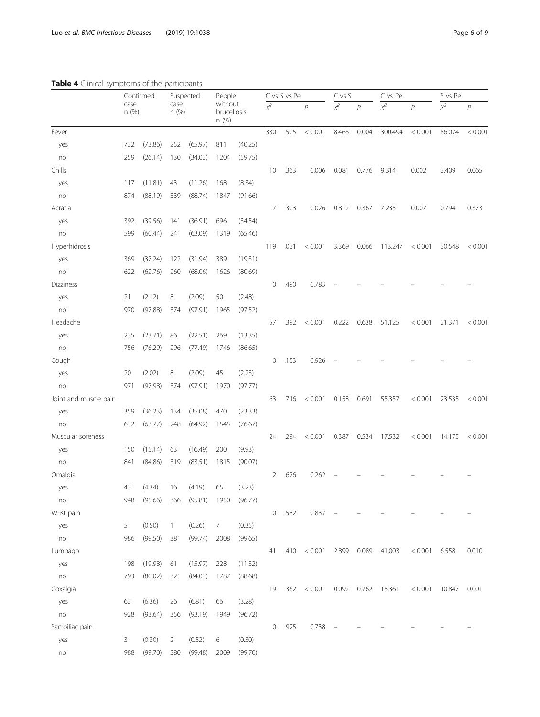# <span id="page-5-0"></span>Table 4 Clinical symptoms of the participants

|                       | Confirmed<br>case<br>n (%) |         | Suspected<br>case<br>n(%) |         | People |                        |     | C vs S vs Pe |                | C vs S           |                | C vs Pe             |                 | S vs Pe          |                |
|-----------------------|----------------------------|---------|---------------------------|---------|--------|------------------------|-----|--------------|----------------|------------------|----------------|---------------------|-----------------|------------------|----------------|
|                       |                            |         |                           |         | n (%)  | without<br>brucellosis |     |              | $\overline{P}$ | $\overline{x^2}$ | $\overline{P}$ | $\overline{\chi^2}$ | $\overline{P}$  | $\overline{x^2}$ | $\overline{P}$ |
| Fever                 |                            |         |                           |         |        |                        | 330 | .505         | < 0.001        | 8.466            | 0.004          | 300.494             | < 0.001         | 86.074           | < 0.001        |
| yes                   | 732                        | (73.86) | 252                       | (65.97) | 811    | (40.25)                |     |              |                |                  |                |                     |                 |                  |                |
| no                    | 259                        | (26.14) | 130                       | (34.03) | 1204   | (59.75)                |     |              |                |                  |                |                     |                 |                  |                |
| Chills                |                            |         |                           |         |        |                        | 10  | .363         | 0.006          | 0.081            | 0.776          | 9.314               | 0.002           | 3.409            | 0.065          |
| yes                   | 117                        | (11.81) | 43                        | (11.26) | 168    | (8.34)                 |     |              |                |                  |                |                     |                 |                  |                |
| no                    | 874                        | (88.19) | 339                       | (88.74) | 1847   | (91.66)                |     |              |                |                  |                |                     |                 |                  |                |
| Acratia               |                            |         |                           |         |        |                        | 7   | .303         | 0.026          | 0.812            | 0.367          | 7.235               | 0.007           | 0.794            | 0.373          |
| yes                   | 392                        | (39.56) | 141                       | (36.91) | 696    | (34.54)                |     |              |                |                  |                |                     |                 |                  |                |
| no                    | 599                        | (60.44) | 241                       | (63.09) | 1319   | (65.46)                |     |              |                |                  |                |                     |                 |                  |                |
| Hyperhidrosis         |                            |         |                           |         |        |                        | 119 | .031         | < 0.001        | 3.369            | 0.066          | 113.247             | < 0.001         | 30.548           | < 0.001        |
| yes                   | 369                        | (37.24) | 122                       | (31.94) | 389    | (19.31)                |     |              |                |                  |                |                     |                 |                  |                |
| no                    | 622                        | (62.76) | 260                       | (68.06) | 1626   | (80.69)                |     |              |                |                  |                |                     |                 |                  |                |
| Dizziness             |                            |         |                           |         |        |                        | 0   | .490         | 0.783          |                  |                |                     |                 |                  |                |
| yes                   | 21                         | (2.12)  | 8                         | (2.09)  | 50     | (2.48)                 |     |              |                |                  |                |                     |                 |                  |                |
| no                    | 970                        | (97.88) | 374                       | (97.91) | 1965   | (97.52)                |     |              |                |                  |                |                     |                 |                  |                |
| Headache              |                            |         |                           |         |        |                        | 57  | .392         | < 0.001        | 0.222            | 0.638          | 51.125              | < 0.001         | 21.371           | < 0.001        |
| yes                   | 235                        | (23.71) | 86                        | (22.51) | 269    | (13.35)                |     |              |                |                  |                |                     |                 |                  |                |
| no                    | 756                        | (76.29) | 296                       | (77.49) | 1746   | (86.65)                |     |              |                |                  |                |                     |                 |                  |                |
| Cough                 |                            |         |                           |         |        |                        | 0   | .153         | 0.926          |                  |                |                     |                 |                  |                |
| yes                   | 20                         | (2.02)  | 8                         | (2.09)  | 45     | (2.23)                 |     |              |                |                  |                |                     |                 |                  |                |
| no                    | 971                        | (97.98) | 374                       | (97.91) | 1970   | (97.77)                |     |              |                |                  |                |                     |                 |                  |                |
| Joint and muscle pain |                            |         |                           |         |        |                        | 63  | .716         | < 0.001        | 0.158            | 0.691          | 55.357              | < 0.001         | 23.535           | < 0.001        |
| yes                   | 359                        | (36.23) | 134                       | (35.08) | 470    | (23.33)                |     |              |                |                  |                |                     |                 |                  |                |
| no                    | 632                        | (63.77) | 248                       | (64.92) | 1545   | (76.67)                |     |              |                |                  |                |                     |                 |                  |                |
| Muscular soreness     |                            |         |                           |         |        |                        | 24  | .294         | < 0.001        | 0.387            | 0.534          | 17.532              | < 0.001         | 14.175           | < 0.001        |
| yes                   | 150                        | (15.14) | 63                        | (16.49) | 200    | (9.93)                 |     |              |                |                  |                |                     |                 |                  |                |
| no                    | 841                        | (84.86) | 319                       | (83.51) | 1815   | (90.07)                |     |              |                |                  |                |                     |                 |                  |                |
| Omalgia               |                            |         |                           |         |        |                        | 2   | .676         | 0.262          |                  |                |                     |                 |                  |                |
| yes                   | 43                         | (4.34)  | 16                        | (4.19)  | 65     | (3.23)                 |     |              |                |                  |                |                     |                 |                  |                |
| no                    | 948                        | (95.66) | 366                       | (95.81) | 1950   | (96.77)                |     |              |                |                  |                |                     |                 |                  |                |
| Wrist pain            |                            |         |                           |         |        |                        | 0   | .582         | 0.837          |                  |                |                     |                 |                  |                |
| yes                   | 5                          | (0.50)  | $\mathbf{1}$              | (0.26)  | 7      | (0.35)                 |     |              |                |                  |                |                     |                 |                  |                |
| no                    | 986                        | (99.50) | 381                       | (99.74) | 2008   | (99.65)                |     |              |                |                  |                |                     |                 |                  |                |
| Lumbago               |                            |         |                           |         |        |                        | 41  | .410         | < 0.001        | 2.899            | 0.089          | 41.003              | $< 0.001$ 6.558 |                  | 0.010          |
| yes                   | 198                        | (19.98) | 61                        | (15.97) | 228    | (11.32)                |     |              |                |                  |                |                     |                 |                  |                |
| no                    | 793                        | (80.02) | 321                       | (84.03) | 1787   | (88.68)                |     |              |                |                  |                |                     |                 |                  |                |
| Coxalgia              |                            |         |                           |         |        |                        | 19  | .362         | < 0.001        | 0.092            | 0.762          | 15.361              | < 0.001         | 10.847           | 0.001          |
| yes                   | 63                         | (6.36)  | 26                        | (6.81)  | 66     | (3.28)                 |     |              |                |                  |                |                     |                 |                  |                |
| no                    | 928                        | (93.64) | 356                       | (93.19) | 1949   | (96.72)                |     |              |                |                  |                |                     |                 |                  |                |
| Sacroiliac pain       |                            |         |                           |         |        |                        | 0   | .925         | 0.738          |                  |                |                     |                 |                  |                |
| yes                   | 3                          | (0.30)  | 2                         | (0.52)  | 6      | (0.30)                 |     |              |                |                  |                |                     |                 |                  |                |
| no                    | 988                        | (99.70) | 380                       | (99.48) | 2009   | (99.70)                |     |              |                |                  |                |                     |                 |                  |                |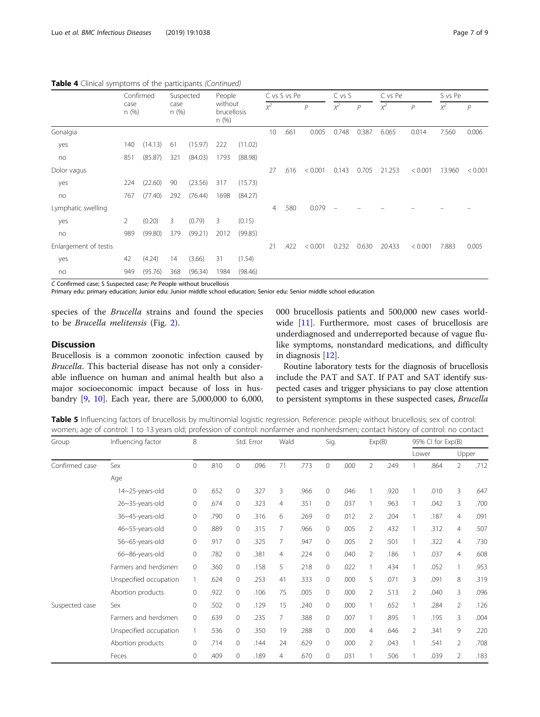|                       | Confirmed<br>case<br>n (%) |         | Suspected<br>case<br>n(%) |         | People<br>without<br><b>brucellosis</b><br>n(%) |         |       | C vs S vs Pe |              | C vs S                   |                | C vs Pe |         | S vs Pe |                |
|-----------------------|----------------------------|---------|---------------------------|---------|-------------------------------------------------|---------|-------|--------------|--------------|--------------------------|----------------|---------|---------|---------|----------------|
|                       |                            |         |                           |         |                                                 |         | $x^2$ |              | $\mathcal P$ | $\chi^2$                 | $\overline{P}$ | $x^2$   | P       | $X^2$   | $\overline{P}$ |
| Gonalgia              |                            |         |                           |         |                                                 |         | 10    | .661         | 0.005        | 0.748                    | 0.387          | 6.065   | 0.014   | 7.560   | 0.006          |
| yes                   | 140                        | (14.13) | -61                       | (15.97) | 222                                             | (11.02) |       |              |              |                          |                |         |         |         |                |
| no                    | 851                        | (85.87) | 321                       | (84.03) | 1793                                            | (88.98) |       |              |              |                          |                |         |         |         |                |
| Dolor vagus           |                            |         |                           |         |                                                 |         | 27    | .616         | < 0.001      | 0.143                    | 0.705          | 21.253  | < 0.001 | 13.960  | < 0.001        |
| yes                   | 224                        | (22.60) | 90                        | (23.56) | 317                                             | (15.73) |       |              |              |                          |                |         |         |         |                |
| no                    | 767                        | (77.40) | 292                       | (76.44) | 1698                                            | (84.27) |       |              |              |                          |                |         |         |         |                |
| Lymphatic swelling    |                            |         |                           |         |                                                 |         | 4     | .580         | 0.079        | $\overline{\phantom{0}}$ |                |         |         |         |                |
| yes                   | 2                          | (0.20)  | 3                         | (0.79)  | 3                                               | (0.15)  |       |              |              |                          |                |         |         |         |                |
| no                    | 989                        | (99.80) | 379                       | (99.21) | 2012                                            | (99.85) |       |              |              |                          |                |         |         |         |                |
| Enlargement of testis |                            |         |                           |         |                                                 |         | 21    | .422         | < 0.001      | 0.232                    | 0.630          | 20.433  | < 0.001 | 7.883   | 0.005          |
| yes                   | 42                         | (4.24)  | 14                        | (3.66)  | 31                                              | (1.54)  |       |              |              |                          |                |         |         |         |                |
| no                    | 949                        | (95.76) | 368                       | (96.34) | 1984                                            | (98.46) |       |              |              |                          |                |         |         |         |                |

#### <span id="page-6-0"></span>Table 4 Clinical symptoms of the participants (Continued)

C Confirmed case; S Suspected case; Pe People without brucellosis

Primary edu: primary education; Junior edu: Junior middle school education; Senior edu: Senior middle school education

species of the Brucella strains and found the species to be Brucella melitensis (Fig. [2\)](#page-7-0).

# **Discussion**

Brucellosis is a common zoonotic infection caused by Brucella. This bacterial disease has not only a considerable influence on human and animal health but also a major socioeconomic impact because of loss in husbandry [\[9](#page-8-0), [10](#page-8-0)]. Each year, there are 5,000,000 to 6,000, 000 brucellosis patients and 500,000 new cases worldwide [\[11](#page-8-0)]. Furthermore, most cases of brucellosis are underdiagnosed and underreported because of vague flulike symptoms, nonstandard medications, and difficulty in diagnosis [\[12](#page-8-0)].

Routine laboratory tests for the diagnosis of brucellosis include the PAT and SAT. If PAT and SAT identify suspected cases and trigger physicians to pay close attention to persistent symptoms in these suspected cases, Brucella

Table 5 Influencing factors of brucellosis by multinomial logistic regression. Reference: people without brucellosis; sex of control: women; age of control: 1 to 13 years old; profession of control: nonfarmer and nonherdsmen; contact history of control: no contact

| Group          | Influencing factor     | B                   |      |         | Std. Error |                | Wald |              | Sig. |                | Exp(B) |                | 95% CI for Exp(B) |                |       |  |
|----------------|------------------------|---------------------|------|---------|------------|----------------|------|--------------|------|----------------|--------|----------------|-------------------|----------------|-------|--|
|                |                        |                     |      |         |            |                |      |              |      |                |        |                | Lower             |                | Upper |  |
| Confirmed case | Sex                    | $\mathbf{0}$        | .810 | 0       | .096       | 71             | .773 | 0            | .000 | $\overline{2}$ | .249   |                | .864              | $\overline{2}$ | .712  |  |
|                | Age                    |                     |      |         |            |                |      |              |      |                |        |                |                   |                |       |  |
|                | 14~25-years-old        | $\mathbf 0$         | .652 | 0       | .327       | 3              | .966 | $\mathbf{0}$ | .046 | $\mathbf{1}$   | .920   | 1              | .010              | 3              | .647  |  |
|                | 26~35-years-old        | $\mathsf{O}\xspace$ | .674 | 0       | .323       | $\overline{4}$ | .351 | $\mathbf{0}$ | .037 |                | .963   |                | .042              | 3              | .700  |  |
|                | 36~45-years-old        | $\circ$             | .790 | 0       | .316       | 6              | .269 | $\mathbf{0}$ | .012 | $\overline{2}$ | .204   | 1              | .187              | $\overline{4}$ | .091  |  |
|                | 46~55-years-old        | $\mathbf{0}$        | .889 | 0       | .315       | 7              | .966 | $\mathbf{0}$ | .005 | 2              | .432   |                | .312              | $\overline{4}$ | .507  |  |
|                | 56~65-years-old        | $\circ$             | .917 | $\circ$ | .325       | 7              | .947 | $\mathbf{0}$ | .005 | $\overline{2}$ | .501   |                | .322              | $\overline{4}$ | .730  |  |
|                | 66~86-years-old        | $\circ$             | .782 | 0       | .381       | $\overline{4}$ | .224 | $\Omega$     | .040 | $\overline{2}$ | .186   | $\mathbf{1}$   | .037              | $\overline{4}$ | .608  |  |
|                | Farmers and herdsmen   | $\circ$             | .360 | 0       | .158       | 5              | .218 | $\mathbf{0}$ | .022 |                | .434   |                | .052              | 1              | .953  |  |
|                | Unspecified occupation |                     | .624 | 0       | .253       | 41             | .333 | 0            | .000 | 5              | .071   | 3              | .091              | 8              | .319  |  |
|                | Abortion products      | $\circ$             | .922 | 0       | .106       | 75             | .005 | $\mathbf{0}$ | .000 | 2              | .513   | $\overline{2}$ | .040              | 3              | .096  |  |
| Suspected case | Sex                    | $\circ$             | .502 | 0       | .129       | 15             | .240 | $\mathbf{0}$ | .000 |                | .652   |                | .284              | $\overline{2}$ | .126  |  |
|                | Farmers and herdsmen   | $\mathbf{0}$        | .639 | 0       | .235       | 7              | .388 | $\mathbf{0}$ | .007 |                | .895   |                | .195              | 3              | .004  |  |
|                | Unspecified occupation |                     | .536 | 0       | .350       | 19             | .288 | $\mathbf{0}$ | .000 | $\overline{4}$ | .646   | $\overline{2}$ | .341              | 9              | .220  |  |
|                | Abortion products      | $\circ$             | .714 | 0       | .144       | 24             | .629 | $\Omega$     | .000 | $\overline{2}$ | .043   |                | .541              | $\overline{2}$ | .708  |  |
|                | Feces                  | $\mathbf{0}$        | .409 | 0       | .189       | 4              | .670 | $\mathbf{0}$ | .031 |                | .506   |                | .039              | $\overline{2}$ | .183  |  |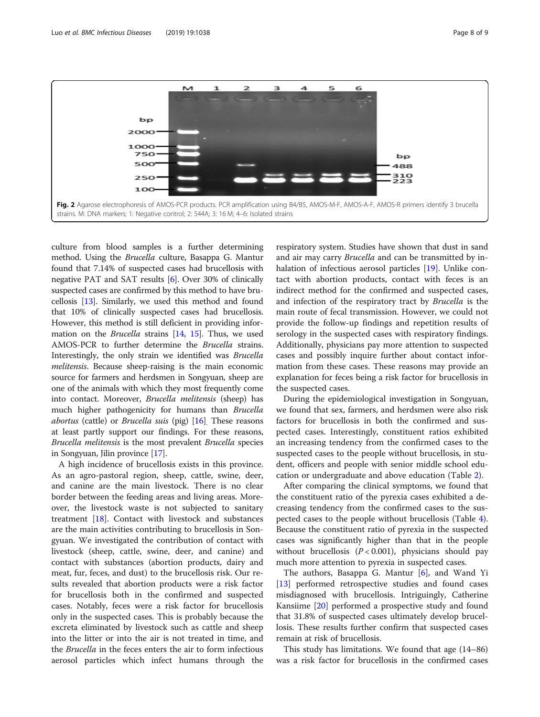<span id="page-7-0"></span>

culture from blood samples is a further determining method. Using the Brucella culture, Basappa G. Mantur found that 7.14% of suspected cases had brucellosis with negative PAT and SAT results [[6\]](#page-8-0). Over 30% of clinically suspected cases are confirmed by this method to have brucellosis [[13\]](#page-8-0). Similarly, we used this method and found that 10% of clinically suspected cases had brucellosis. However, this method is still deficient in providing information on the *Brucella* strains [\[14](#page-8-0), [15](#page-8-0)]. Thus, we used AMOS-PCR to further determine the Brucella strains. Interestingly, the only strain we identified was Brucella melitensis. Because sheep-raising is the main economic source for farmers and herdsmen in Songyuan, sheep are one of the animals with which they most frequently come into contact. Moreover, Brucella melitensis (sheep) has much higher pathogenicity for humans than Brucella *abortus* (cattle) or *Brucella suis* (pig)  $[16]$  $[16]$  $[16]$ . These reasons at least partly support our findings. For these reasons, Brucella melitensis is the most prevalent Brucella species in Songyuan, Jilin province [[17](#page-8-0)].

A high incidence of brucellosis exists in this province. As an agro-pastoral region, sheep, cattle, swine, deer, and canine are the main livestock. There is no clear border between the feeding areas and living areas. Moreover, the livestock waste is not subjected to sanitary treatment [\[18\]](#page-8-0). Contact with livestock and substances are the main activities contributing to brucellosis in Songyuan. We investigated the contribution of contact with livestock (sheep, cattle, swine, deer, and canine) and contact with substances (abortion products, dairy and meat, fur, feces, and dust) to the brucellosis risk. Our results revealed that abortion products were a risk factor for brucellosis both in the confirmed and suspected cases. Notably, feces were a risk factor for brucellosis only in the suspected cases. This is probably because the excreta eliminated by livestock such as cattle and sheep into the litter or into the air is not treated in time, and the Brucella in the feces enters the air to form infectious aerosol particles which infect humans through the

respiratory system. Studies have shown that dust in sand and air may carry Brucella and can be transmitted by in-halation of infectious aerosol particles [\[19](#page-8-0)]. Unlike contact with abortion products, contact with feces is an indirect method for the confirmed and suspected cases, and infection of the respiratory tract by Brucella is the main route of fecal transmission. However, we could not provide the follow-up findings and repetition results of serology in the suspected cases with respiratory findings. Additionally, physicians pay more attention to suspected cases and possibly inquire further about contact information from these cases. These reasons may provide an explanation for feces being a risk factor for brucellosis in the suspected cases.

During the epidemiological investigation in Songyuan, we found that sex, farmers, and herdsmen were also risk factors for brucellosis in both the confirmed and suspected cases. Interestingly, constituent ratios exhibited an increasing tendency from the confirmed cases to the suspected cases to the people without brucellosis, in student, officers and people with senior middle school education or undergraduate and above education (Table [2](#page-3-0)).

After comparing the clinical symptoms, we found that the constituent ratio of the pyrexia cases exhibited a decreasing tendency from the confirmed cases to the suspected cases to the people without brucellosis (Table [4](#page-5-0)). Because the constituent ratio of pyrexia in the suspected cases was significantly higher than that in the people without brucellosis  $(P < 0.001)$ , physicians should pay much more attention to pyrexia in suspected cases.

The authors, Basappa G. Mantur [\[6](#page-8-0)], and Wand Yi [[13\]](#page-8-0) performed retrospective studies and found cases misdiagnosed with brucellosis. Intriguingly, Catherine Kansiime [\[20](#page-8-0)] performed a prospective study and found that 31.8% of suspected cases ultimately develop brucellosis. These results further confirm that suspected cases remain at risk of brucellosis.

This study has limitations. We found that age (14–86) was a risk factor for brucellosis in the confirmed cases